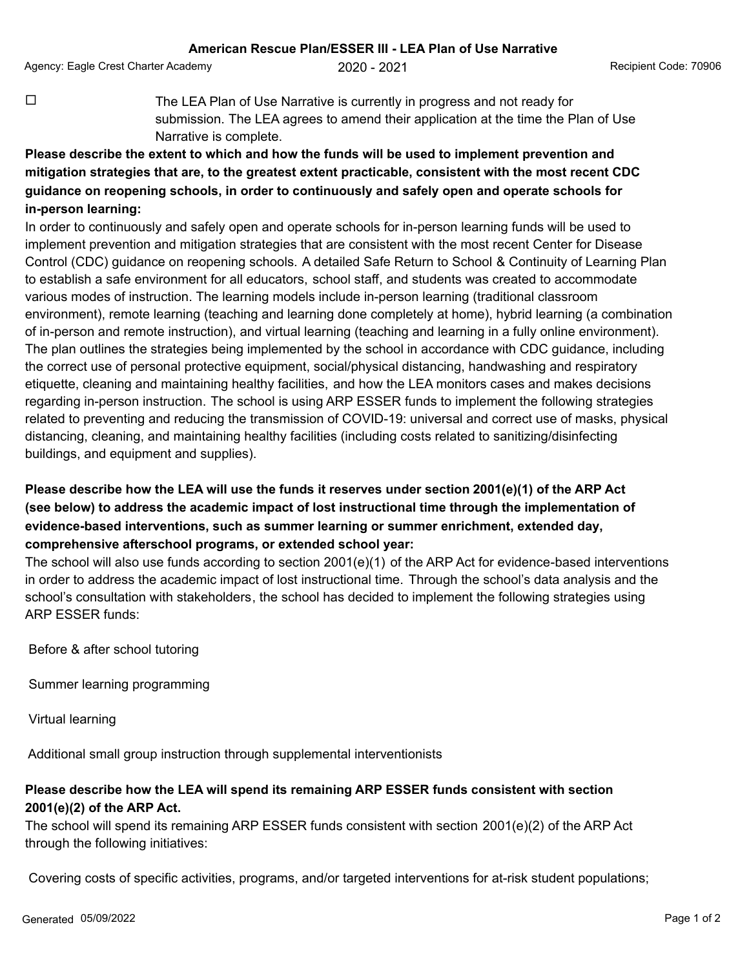Agency: Eagle Crest Charter Academy  $2020 - 2021$  Recipient Code: 70906

 $\Box$  The LEA Plan of Use Narrative is currently in progress and not ready for submission. The LEA agrees to amend their application at the time the Plan of Use Narrative is complete.

## **Please describe the extent to which and how the funds will be used to implement prevention and mitigation strategies that are, to the greatest extent practicable, consistent with the most recent CDC guidance on reopening schools, in order to continuously and safely open and operate schools for in-person learning:**

In order to continuously and safely open and operate schools for in-person learning funds will be used to implement prevention and mitigation strategies that are consistent with the most recent Center for Disease Control (CDC) guidance on reopening schools. A detailed Safe Return to School & Continuity of Learning Plan to establish a safe environment for all educators, school staff, and students was created to accommodate various modes of instruction. The learning models include in-person learning (traditional classroom environment), remote learning (teaching and learning done completely at home), hybrid learning (a combination of in-person and remote instruction), and virtual learning (teaching and learning in a fully online environment). The plan outlines the strategies being implemented by the school in accordance with CDC guidance, including the correct use of personal protective equipment, social/physical distancing, handwashing and respiratory etiquette, cleaning and maintaining healthy facilities, and how the LEA monitors cases and makes decisions regarding in-person instruction. The school is using ARP ESSER funds to implement the following strategies related to preventing and reducing the transmission of COVID-19: universal and correct use of masks, physical distancing, cleaning, and maintaining healthy facilities (including costs related to sanitizing/disinfecting buildings, and equipment and supplies).

## **Please describe how the LEA will use the funds it reserves under section 2001(e)(1) of the ARP Act (see below) to address the academic impact of lost instructional time through the implementation of evidence-based interventions, such as summer learning or summer enrichment, extended day, comprehensive afterschool programs, or extended school year:**

The school will also use funds according to section 2001(e)(1) of the ARP Act for evidence-based interventions in order to address the academic impact of lost instructional time. Through the school's data analysis and the school's consultation with stakeholders, the school has decided to implement the following strategies using ARP ESSER funds:

Before & after school tutoring

Summer learning programming

Virtual learning

Additional small group instruction through supplemental interventionists

## **Please describe how the LEA will spend its remaining ARP ESSER funds consistent with section 2001(e)(2) of the ARP Act.**

The school will spend its remaining ARP ESSER funds consistent with section 2001(e)(2) of the ARP Act through the following initiatives:

Covering costs of specific activities, programs, and/or targeted interventions for at-risk student populations;